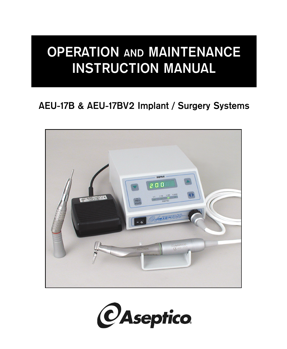# **OPERATION MANITAL**

# **AEU-17B & AEU-17BV2 Implant / Surgery Systems**



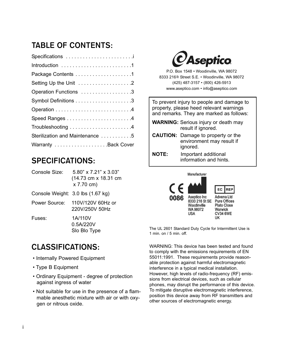# **TABLE OF CONTENTS:**

| Specifications                  |
|---------------------------------|
|                                 |
|                                 |
| Setting Up the Unit 2           |
| Operation Functions 3           |
|                                 |
|                                 |
|                                 |
|                                 |
| Sterilization and Maintenance 5 |
| Warranty Back Cover             |
|                                 |

# SPECIFICATIONS.

| Console Size: | $5.80$ " x $7.21$ " x $3.03$ "<br>(14.73 cm x 18.31 cm<br>x 7.70 cm) |
|---------------|----------------------------------------------------------------------|
|               | Console Weight: 3.0 lbs (1.67 kg)                                    |
| Power Source: | 110V/120V 60Hz or<br>220V/250V 50Hz                                  |
| Fuses:        | 1A/110V<br>0.5A/220V<br>Slo Blo Type                                 |

# **CLASSIFICATIONS:**

- Internally Powered Equipment
- Type B Equipment
- Ordinary Equipment degree of protection against ingress of water
- Not suitable for use in the presence of a flammable anesthetic mixture with air or with oxygen or nitrous oxide.



P.O. Box 1548 • Woodinville, WA 98072 8333 216th Street S.E. • Woodinville, WA 98072 (425) 487-3157 • (800) 426-5913 www.aseptico.com • info@aseptico.com

To prevent injury to people and damage to property, please heed relevant warnings and remarks. They are marked as follows:

- **WARNING:** Serious injury or death may result if ignored.
- **CAUTION:** Damage to property or the environment may result if ignored.
- **NOTE:** Important additional information and hints.



The UL 2601 Standard Duty Cycle for Intermittent Use is 1 min. on / 5 min. off.

WARNING: This device has been tested and found to comply with the emissions requirements of EN 55011:1991. These requirements provide reasonable protection against harmful electromagnetic interference in a typical medical installation. However, high levels of radio-frequency (RF) emissions from electrical devices, such as cellular phones, may disrupt the performance of this device. To mitigate disruptive electromagnetic interference, position this device away from RF transmitters and other sources of electromagnetic energy.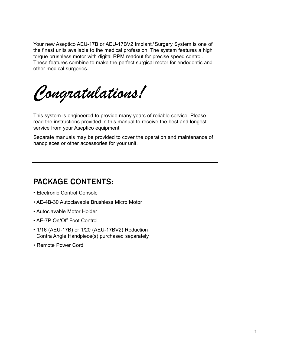Your new Aseptico AEU-17B or AEU-17BV2 Implant / Surgery System is one of the finest units available to the medical profession. The system features a high torque brushless motor with digital RPM readout for precise speed control. These features combine to make the perfect surgical motor for endodontic and other medical surgeries.

This system is engineered to provide many years of reliable service. Please read the instructions provided in this manual to receive the best and longest service from your Aseptico equipment.

Separate manuals may be provided to cover the operation and maintenance of handpieces or other accessories for your unit.

### **PACKAGE CONTENTS:**

- Electronic Control Console
- AE-4B-30 Autoclavable Brushless Micro Motor
- Autoclavable Motor Holder
- AE-7P On/Off Foot Control
- 1/16 (AEU-17B) or 1/20 (AEU-17BV2) Reduction Contra Angle Handpiece(s) purchased separately
- Remote Power Cord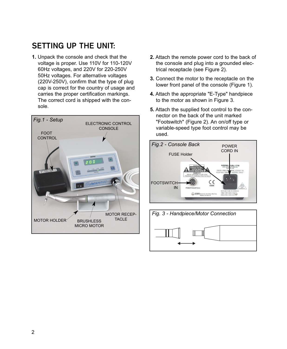# **SETTING UP THE UNIT:**

**1.** Unpack the console and check that the voltage is proper. Use 110V for 110-120V 60Hz voltages, and 220V for 220-250V 50Hz voltages. For alternative voltages (220V-250V), confirm that the type of plug cap is correct for the country of usage and carries the proper certification markings. The correct cord is shipped with the console.



- **2.** Attach the remote power cord to the back of the console and plug into a grounded electrical receptacle (see Figure 2).
- **3.** Connect the motor to the receptacle on the lower front panel of the console (Figure 1).
- **4.** Attach the appropriate "E-Type" handpiece to the motor as shown in Figure 3.
- **5.** Attach the supplied foot control to the connector on the back of the unit marked "Footswitch" (Figure 2). An on/off type or variable-speed type foot control may be used.



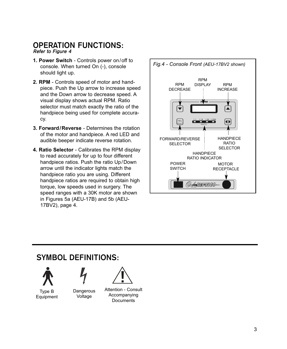#### **OPERATION FUNCTIONS: Refer to Figure 4**

- **1. Power Switch** Controls power on/off to console. When turned On (-), console should light up.
- **2. RPM** Controls speed of motor and handpiece. Push the Up arrow to increase speed and the Down arrow to decrease speed. A visual display shows actual RPM. Ratio selector must match exactly the ratio of the handpiece being used for complete accuracy.
- **3. Forward/Reverse** Determines the rotation of the motor and handpiece. A red LED and audible beeper indicate reverse rotation.
- **4. Ratio Selector** Calibrates the RPM display to read accurately for up to four different handpiece ratios. Push the ratio Up/Down arrow until the indicator lights match the handpiece ratio you are using. Different handpiece ratios are required to obtain high torque, low speeds used in surgery. The speed ranges with a 30K motor are shown in Figures 5a (AEU-17B) and 5b (AEU-17BV2), page 4.



# **SYMBOL DEFINITIONS: SYMBOL DEFINITIONS:**

Type B Equipment

**Dangerous** Voltage

Attention - Consult Accompanying **Documents**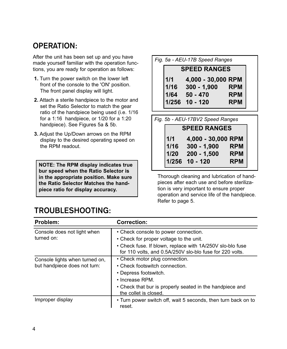# **OPERATION:**

**THERATION:**<br>After the unit has been set up and you have made yourself familiar with the operation functions, you are ready for operation as follows:

- **1.** Turn the power switch on the lower left front of the console to the 'ON' position. The front panel display will light.
- **2.** Attach a sterile handpiece to the motor and set the Ratio Selector to match the gear ratio of the handpiece being used (i.e. 1/16 for a 1:16 handpiece, or 1/20 for a 1:20 handpiece). See Figures 5a & 5b.
- **3.** Adjust the Up/Down arrows on the RPM display to the desired operating speed on the RPM readout.

**NOTE: The RPM display indicates true bur speed when the Ratio Selector is in the appropriate position. Make sure the Ratio Selector Matches the handpiece ratio for display accuracy.**

## **TROUBLESHOOTING:**

| Fig. 5a - AEU-17B Speed Ranges |                                  |            |  |
|--------------------------------|----------------------------------|------------|--|
| <b>SPEED RANGES</b>            |                                  |            |  |
| 1/1                            | 4,000 - 30,000 RPM               |            |  |
|                                | $1/16$ 300 - 1,900               | <b>RPM</b> |  |
|                                | $1/64$ 50 - 470                  | <b>RPM</b> |  |
|                                | 1/256 10 - 120                   | <b>RPM</b> |  |
|                                |                                  |            |  |
|                                |                                  |            |  |
|                                | Fig. 5b - AEU-17BV2 Speed Ranges |            |  |

| $1/1$<br>$1/16$ | 4,000 - 30,000 RPM |            |
|-----------------|--------------------|------------|
|                 | $300 - 1,900$      | <b>RPM</b> |
| 1/20            | $200 - 1,500$      | <b>RPM</b> |
|                 | 1/256 10 - 120     | <b>RPM</b> |

Thorough cleaning and lubrication of handpieces after each use and before sterilization is very important to ensure proper operation and service life of the handpiece. Refer to page 5.

| Problem:                                                       | <b>Correction:</b>                                                                                                                                                                                       |
|----------------------------------------------------------------|----------------------------------------------------------------------------------------------------------------------------------------------------------------------------------------------------------|
| Console does not light when<br>turned on:                      | • Check console to power connection.<br>• Check for proper voltage to the unit.<br>• Check fuse. If blown, replace with 1A/250V slo-blo fuse<br>for 110 volts, and 0.5A/250V slo-blo fuse for 220 volts. |
| Console lights when turned on,<br>but handpiece does not turn: | • Check motor plug connection.<br>• Check footswitch connection.<br>• Depress footswitch.<br>• Increase RPM.<br>• Check that bur is properly seated in the handpiece and<br>the collet is closed.        |
| Improper display                                               | • Turn power switch off, wait 5 seconds, then turn back on to<br>reset.                                                                                                                                  |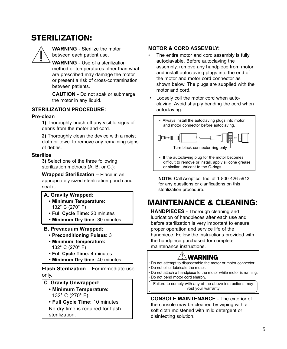# STERILIZATION:



**WARNING** - Sterilize the motor between each patient use.

**WARNING** - Use of a sterilization method or temperatures other than what are prescribed may damage the motor or present a risk of cross-contamination between patients.

**CAUTION** - Do not soak or submerge the motor in any liquid.

#### **STERILIZATION PROCEDURE:**

#### **Pre-clean**

**1)** Thoroughly brush off any visible signs of debris from the motor and cord.

**2)** Thoroughly clean the device with a moist cloth or towel to remove any remaining signs of debris.

#### **Sterilize**

**3)** Select one of the three following sterilization methods (A. B. or C.):

**Wrapped Sterilization** – Place in an appropriately sized sterilization pouch and seal it.

#### **A. Gravity Wrapped:**

- **Minimum Temperature:** 132° C (270° F)
- **Full Cycle Time:** 20 minutes
- **Minimum Dry time:** 30 minutes

#### **B. Prevacuum Wrapped:**

- **Preconditioning Pulses:** 3
- **Minimum Temperature:** 132° C (270° F)
- **Full Cycle Time:** 4 minutes
- **Minimum Dry time:** 40 minutes

**Flash Sterilization** – For immediate use only.

#### **C**. **Gravity Unwrapped:**

- **Minimum Temperature:** 132° C (270° F)
- **Full Cycle Time:** 10 minutes No dry time is required for flash sterilization.

#### **MOTOR & CORD ASSEMBLY:**

- The entire motor and cord assembly is fully autoclavable. Before autoclaving the assembly, remove any handpiece from motor and install autoclaving plugs into the end of the motor and motor cord connector as shown below. The plugs are supplied with the motor and cord.
- Loosely coil the motor cord when autoclaving. Avoid sharply bending the cord when autoclaving.



• If the autoclaving plug for the motor becomes difficult to remove or install, apply silicone grease or similar lubricant to the O-rings.

**NOTE:** Call Aseptico, Inc. at 1-800-426-5913 for any questions or clarifications on this sterilization procedure.

# MAINTENANCE & CLEANING:

**HANDPIECES** - Thorough cleaning and lubrication of handpieces after each use and before sterilization is very important to ensure proper operation and service life of the handpiece. Follow the instructions provided with the handpiece purchased for complete maintenance instructions.

# $^{\prime\prime\prime}$  Warning

• Do not attempt to disassemble the motor or motor connector. • Do not oil or lubricate the motor.

• Do not attach a handpiece to the motor while motor is running. • Do not bend motor cord sharply.

Failure to comply with any of the above instructions may void your warranty

**CONSOLE MAINTENANCE** - The exterior of the console may be cleaned by wiping with a soft cloth moistened with mild detergent or disinfecting solution.